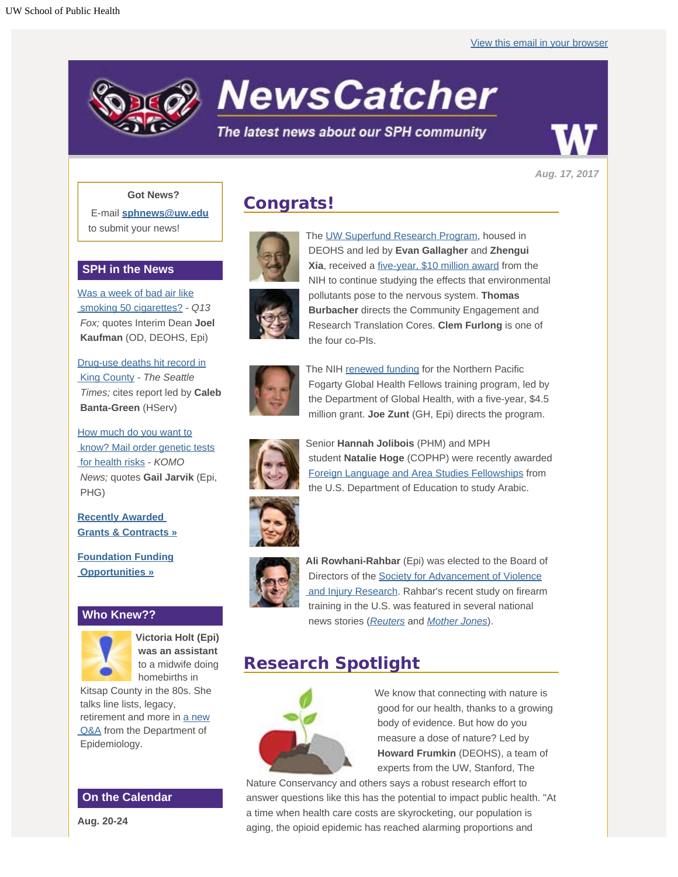

*Aug. 17, 2017*

#### **Got News?**

E-mail **[sphnews@uw.edu](mailto:sphnews@uw.edu)** to submit your news!

### **SPH in the News**

[Was a week of bad air like](http://engage.washington.edu/site/R?i=DS6cayIqDZR7yvASdaFxfg)  [smoking 50 cigarettes?](http://engage.washington.edu/site/R?i=DS6cayIqDZR7yvASdaFxfg) - *Q13 Fox;* quotes Interim Dean **Joel Kaufman** (OD, DEOHS, Epi)

[Drug-use deaths hit record in](http://engage.washington.edu/site/R?i=EIRgE6CTuAClPUMlHI-uyg)  [King County](http://engage.washington.edu/site/R?i=EIRgE6CTuAClPUMlHI-uyg) - *The Seattle Times;* cites report led by **Caleb Banta-Green** (HServ)

[How much do you want to](http://engage.washington.edu/site/R?i=QI-p8wlsiKNfTTOPxV5q7w)  [know? Mail order genetic tests](http://engage.washington.edu/site/R?i=QI-p8wlsiKNfTTOPxV5q7w)  [for health risks](http://engage.washington.edu/site/R?i=QI-p8wlsiKNfTTOPxV5q7w) - *KOMO News;* quotes **Gail Jarvik** (Epi, PHG)

**[Recently Awarded](http://engage.washington.edu/site/R?i=SkOnCkU_5DrrW2KW3h78rg)  [Grants & Contracts »](http://engage.washington.edu/site/R?i=SkOnCkU_5DrrW2KW3h78rg)**

**[Foundation Funding](http://engage.washington.edu/site/R?i=2UCKPsIA2W9PPqamc4Om6Q)  [Opportunities »](http://engage.washington.edu/site/R?i=2UCKPsIA2W9PPqamc4Om6Q)**

### **Who Knew??**



**Victoria Holt (Epi) was an assistant** to a midwife doing homebirths in

 Kitsap County in the 80s. She talks line lists, legacy, retirement and more in [a new](http://engage.washington.edu/site/R?i=hQGUIU4KAML9omZzFYZgHQ)  [Q&A](http://engage.washington.edu/site/R?i=hQGUIU4KAML9omZzFYZgHQ) from the Department of Epidemiology.

## **On the Calendar**

**Aug. 20-24**

# **Congrats!**





The [UW Superfund Research Program](http://engage.washington.edu/site/R?i=zOI65oqiZwoPdRWxXiPhCA), housed in DEOHS and led by **Evan Gallagher** and **Zhengui**



The NIH [renewed funding](http://engage.washington.edu/site/R?i=Vcy7zcOJ2Tdeadh52G7kBQ) for the Northern Pacific Fogarty Global Health Fellows training program, led by the Department of Global Health, with a five-year, \$4.5 million grant. **Joe Zunt** (GH, Epi) directs the program.



Senior **Hannah Jolibois** (PHM) and MPH student **Natalie Hoge** (COPHP) were recently awarded [Foreign Language and Area Studies Fellowships](http://engage.washington.edu/site/R?i=1YFli9bQajtUkSh3cSuOpg) from the U.S. Department of Education to study Arabic.



**Ali Rowhani-Rahbar** (Epi) was elected to the Board of Directors of the [Society for Advancement of Violence](http://engage.washington.edu/site/R?i=psiiRun46cal1sDK2x90IA)  [and Injury Research](http://engage.washington.edu/site/R?i=psiiRun46cal1sDK2x90IA). Rahbar's recent study on firearm training in the U.S. was featured in several national news stories (*[Reuters](http://engage.washington.edu/site/R?i=HI90tel4zGMB_nJsOxT-cw)* and *[Mother Jones](http://engage.washington.edu/site/R?i=wFmEI3aD_jurnzzgx2NScw)*).

## **Research Spotlight**



We know that connecting with nature is good for our health, thanks to a growing body of evidence. But how do you measure a dose of nature? Led by **Howard Frumkin** (DEOHS), a team of experts from the UW, Stanford, The

 Nature Conservancy and others says a robust research effort to answer questions like this has the potential to impact public health. "At a time when health care costs are skyrocketing, our population is aging, the opioid epidemic has reached alarming proportions and